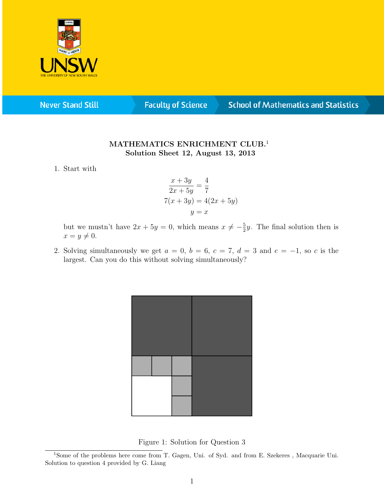

**Never Stand Still** 

**Faculty of Science** 

## **School of Mathematics and Statistics**

## MATHEMATICS ENRICHMENT CLUB.<sup>1</sup> Solution Sheet 12, August 13, 2013

1. Start with

$$
\frac{x+3y}{2x+5y} = \frac{4}{7}
$$
  
7(x+3y) = 4(2x + 5y)  

$$
y = x
$$

but we mustn't have  $2x + 5y = 0$ , which means  $x \neq -\frac{5}{2}$  $\frac{5}{2}y$ . The final solution then is  $x = y \neq 0.$ 

2. Solving simultaneously we get  $a = 0$ ,  $b = 6$ ,  $c = 7$ ,  $d = 3$  and  $e = -1$ , so c is the largest. Can you do this without solving simultaneously?



Figure 1: Solution for Question 3

<sup>&</sup>lt;sup>1</sup>Some of the problems here come from T. Gagen, Uni. of Syd. and from E. Szekeres, Macquarie Uni. Solution to question 4 provided by G. Liang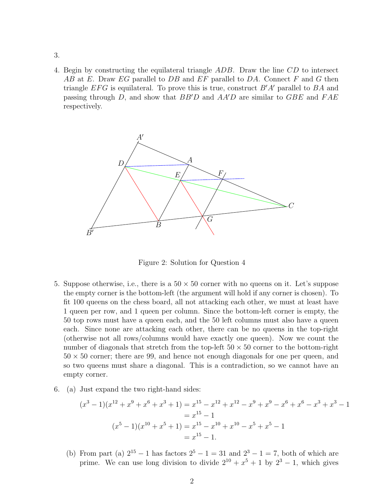- 3.
- 4. Begin by constructing the equilateral triangle ADB. Draw the line CD to intersect AB at E. Draw EG parallel to DB and  $EF$  parallel to DA. Connect F and G then triangle EFG is equilateral. To prove this is true, construct  $B'A'$  parallel to BA and passing through D, and show that  $BB'D$  and  $AA'D$  are similar to  $GBE$  and  $FAE$ respectively.



Figure 2: Solution for Question 4

- 5. Suppose otherwise, i.e., there is a  $50 \times 50$  corner with no queens on it. Let's suppose the empty corner is the bottom-left (the argument will hold if any corner is chosen). To fit 100 queens on the chess board, all not attacking each other, we must at least have 1 queen per row, and 1 queen per column. Since the bottom-left corner is empty, the 50 top rows must have a queen each, and the 50 left columns must also have a queen each. Since none are attacking each other, there can be no queens in the top-right (otherwise not all rows/columns would have exactly one queen). Now we count the number of diagonals that stretch from the top-left  $50 \times 50$  corner to the bottom-right  $50 \times 50$  corner; there are 99, and hence not enough diagonals for one per queen, and so two queens must share a diagonal. This is a contradiction, so we cannot have an empty corner.
- 6. (a) Just expand the two right-hand sides:

$$
(x3 - 1)(x12 + x9 + x6 + x3 + 1) = x15 - x12 + x12 - x9 + x9 - x6 + x6 - x3 + x3 - 1
$$
  
= x<sup>15</sup> - 1  

$$
(x5 - 1)(x10 + x5 + 1) = x15 - x10 + x10 - x5 + x5 - 1
$$
  
= x<sup>15</sup> - 1.

(b) From part (a)  $2^{15} - 1$  has factors  $2^5 - 1 = 31$  and  $2^3 - 1 = 7$ , both of which are prime. We can use long division to divide  $2^{10} + x^5 + 1$  by  $2^3 - 1$ , which gives